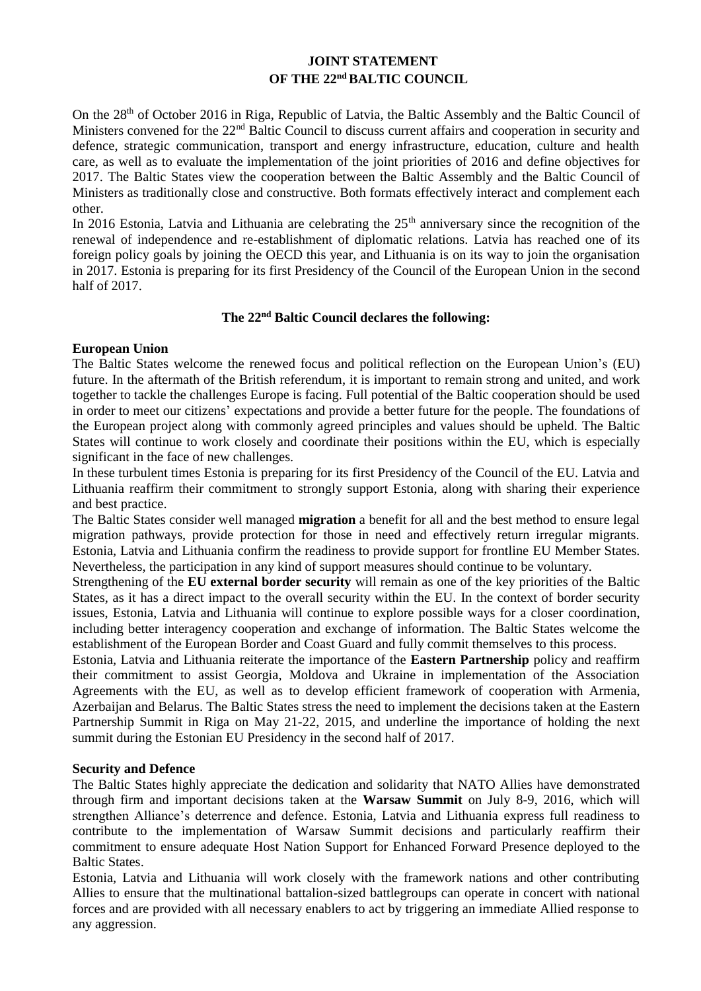# **JOINT STATEMENT OF THE 22nd BALTIC COUNCIL**

On the 28<sup>th</sup> of October 2016 in Riga, Republic of Latvia, the Baltic Assembly and the Baltic Council of Ministers convened for the 22<sup>nd</sup> Baltic Council to discuss current affairs and cooperation in security and defence, strategic communication, transport and energy infrastructure, education, culture and health care, as well as to evaluate the implementation of the joint priorities of 2016 and define objectives for 2017. The Baltic States view the cooperation between the Baltic Assembly and the Baltic Council of Ministers as traditionally close and constructive. Both formats effectively interact and complement each other.

In 2016 Estonia, Latvia and Lithuania are celebrating the  $25<sup>th</sup>$  anniversary since the recognition of the renewal of independence and re-establishment of diplomatic relations. Latvia has reached one of its foreign policy goals by joining the OECD this year, and Lithuania is on its way to join the organisation in 2017. Estonia is preparing for its first Presidency of the Council of the European Union in the second half of 2017.

## **The 22nd Baltic Council declares the following:**

## **European Union**

The Baltic States welcome the renewed focus and political reflection on the European Union's (EU) future. In the aftermath of the British referendum, it is important to remain strong and united, and work together to tackle the challenges Europe is facing. Full potential of the Baltic cooperation should be used in order to meet our citizens' expectations and provide a better future for the people. The foundations of the European project along with commonly agreed principles and values should be upheld. The Baltic States will continue to work closely and coordinate their positions within the EU, which is especially significant in the face of new challenges.

In these turbulent times Estonia is preparing for its first Presidency of the Council of the EU. Latvia and Lithuania reaffirm their commitment to strongly support Estonia, along with sharing their experience and best practice.

The Baltic States consider well managed **migration** a benefit for all and the best method to ensure legal migration pathways, provide protection for those in need and effectively return irregular migrants. Estonia, Latvia and Lithuania confirm the readiness to provide support for frontline EU Member States. Nevertheless, the participation in any kind of support measures should continue to be voluntary.

Strengthening of the **EU external border security** will remain as one of the key priorities of the Baltic States, as it has a direct impact to the overall security within the EU. In the context of border security issues, Estonia, Latvia and Lithuania will continue to explore possible ways for a closer coordination, including better interagency cooperation and exchange of information. The Baltic States welcome the establishment of the European Border and Coast Guard and fully commit themselves to this process.

Estonia, Latvia and Lithuania reiterate the importance of the **Eastern Partnership** policy and reaffirm their commitment to assist Georgia, Moldova and Ukraine in implementation of the Association Agreements with the EU, as well as to develop efficient framework of cooperation with Armenia, Azerbaijan and Belarus. The Baltic States stress the need to implement the decisions taken at the Eastern Partnership Summit in Riga on May 21-22, 2015, and underline the importance of holding the next summit during the Estonian EU Presidency in the second half of 2017.

#### **Security and Defence**

The Baltic States highly appreciate the dedication and solidarity that NATO Allies have demonstrated through firm and important decisions taken at the **Warsaw Summit** on July 8-9, 2016, which will strengthen Alliance's deterrence and defence. Estonia, Latvia and Lithuania express full readiness to contribute to the implementation of Warsaw Summit decisions and particularly reaffirm their commitment to ensure adequate Host Nation Support for Enhanced Forward Presence deployed to the Baltic States.

Estonia, Latvia and Lithuania will work closely with the framework nations and other contributing Allies to ensure that the multinational battalion-sized battlegroups can operate in concert with national forces and are provided with all necessary enablers to act by triggering an immediate Allied response to any aggression.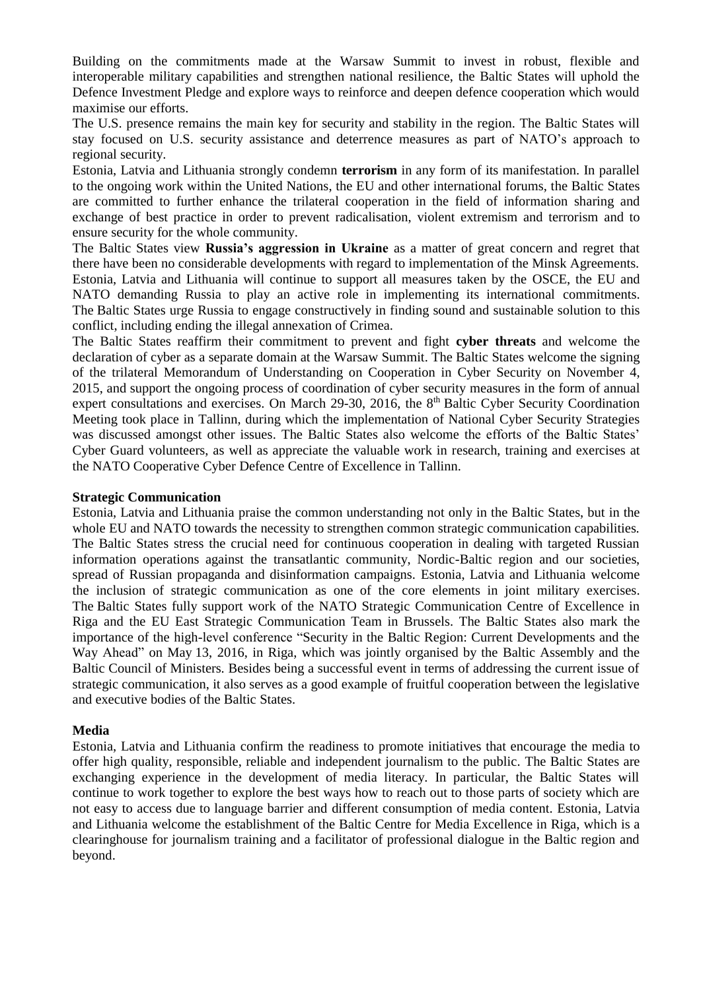Building on the commitments made at the Warsaw Summit to invest in robust, flexible and interoperable military capabilities and strengthen national resilience, the Baltic States will uphold the Defence Investment Pledge and explore ways to reinforce and deepen defence cooperation which would maximise our efforts.

The U.S. presence remains the main key for security and stability in the region. The Baltic States will stay focused on U.S. security assistance and deterrence measures as part of NATO's approach to regional security.

Estonia, Latvia and Lithuania strongly condemn **terrorism** in any form of its manifestation. In parallel to the ongoing work within the United Nations, the EU and other international forums, the Baltic States are committed to further enhance the trilateral cooperation in the field of information sharing and exchange of best practice in order to prevent radicalisation, violent extremism and terrorism and to ensure security for the whole community.

The Baltic States view **Russia's aggression in Ukraine** as a matter of great concern and regret that there have been no considerable developments with regard to implementation of the Minsk Agreements. Estonia, Latvia and Lithuania will continue to support all measures taken by the OSCE, the EU and NATO demanding Russia to play an active role in implementing its international commitments. The Baltic States urge Russia to engage constructively in finding sound and sustainable solution to this conflict, including ending the illegal annexation of Crimea.

The Baltic States reaffirm their commitment to prevent and fight **cyber threats** and welcome the declaration of cyber as a separate domain at the Warsaw Summit. The Baltic States welcome the signing of the trilateral Memorandum of Understanding on Cooperation in Cyber Security on November 4, 2015, and support the ongoing process of coordination of cyber security measures in the form of annual expert consultations and exercises. On March 29-30, 2016, the 8<sup>th</sup> Baltic Cyber Security Coordination Meeting took place in Tallinn, during which the implementation of National Cyber Security Strategies was discussed amongst other issues. The Baltic States also welcome the efforts of the Baltic States' Cyber Guard volunteers, as well as appreciate the valuable work in research, training and exercises at the NATO Cooperative Cyber Defence Centre of Excellence in Tallinn.

#### **Strategic Communication**

Estonia, Latvia and Lithuania praise the common understanding not only in the Baltic States, but in the whole EU and NATO towards the necessity to strengthen common strategic communication capabilities. The Baltic States stress the crucial need for continuous cooperation in dealing with targeted Russian information operations against the transatlantic community, Nordic-Baltic region and our societies, spread of Russian propaganda and disinformation campaigns. Estonia, Latvia and Lithuania welcome the inclusion of strategic communication as one of the core elements in joint military exercises. The Baltic States fully support work of the NATO Strategic Communication Centre of Excellence in Riga and the EU East Strategic Communication Team in Brussels. The Baltic States also mark the importance of the high-level conference "Security in the Baltic Region: Current Developments and the Way Ahead" on May 13, 2016, in Riga, which was jointly organised by the Baltic Assembly and the Baltic Council of Ministers. Besides being a successful event in terms of addressing the current issue of strategic communication, it also serves as a good example of fruitful cooperation between the legislative and executive bodies of the Baltic States.

#### **Media**

Estonia, Latvia and Lithuania confirm the readiness to promote initiatives that encourage the media to offer high quality, responsible, reliable and independent journalism to the public. The Baltic States are exchanging experience in the development of media literacy. In particular, the Baltic States will continue to work together to explore the best ways how to reach out to those parts of society which are not easy to access due to language barrier and different consumption of media content. Estonia, Latvia and Lithuania welcome the establishment of the Baltic Centre for Media Excellence in Riga, which is a clearinghouse for journalism training and a facilitator of professional dialogue in the Baltic region and beyond.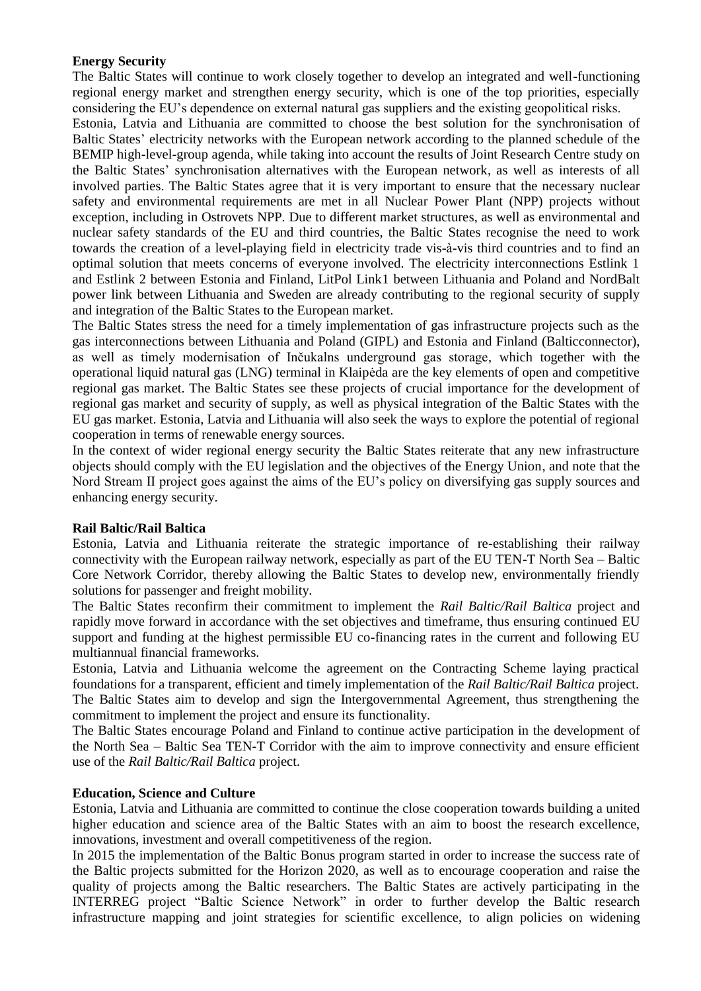### **Energy Security**

The Baltic States will continue to work closely together to develop an integrated and well-functioning regional energy market and strengthen energy security, which is one of the top priorities, especially considering the EU's dependence on external natural gas suppliers and the existing geopolitical risks.

Estonia, Latvia and Lithuania are committed to choose the best solution for the synchronisation of Baltic States' electricity networks with the European network according to the planned schedule of the BEMIP high-level-group agenda, while taking into account the results of Joint Research Centre study on the Baltic States' synchronisation alternatives with the European network, as well as interests of all involved parties. The Baltic States agree that it is very important to ensure that the necessary nuclear safety and environmental requirements are met in all Nuclear Power Plant (NPP) projects without exception, including in Ostrovets NPP. Due to different market structures, as well as environmental and nuclear safety standards of the EU and third countries, the Baltic States recognise the need to work towards the creation of a level-playing field in electricity trade vis-à-vis third countries and to find an optimal solution that meets concerns of everyone involved. The electricity interconnections Estlink 1 and Estlink 2 between Estonia and Finland, LitPol Link1 between Lithuania and Poland and NordBalt power link between Lithuania and Sweden are already contributing to the regional security of supply and integration of the Baltic States to the European market.

The Baltic States stress the need for a timely implementation of gas infrastructure projects such as the gas interconnections between Lithuania and Poland (GIPL) and Estonia and Finland (Balticconnector), as well as timely modernisation of Inčukalns underground gas storage, which together with the operational liquid natural gas (LNG) terminal in Klaipėda are the key elements of open and competitive regional gas market. The Baltic States see these projects of crucial importance for the development of regional gas market and security of supply, as well as physical integration of the Baltic States with the EU gas market. Estonia, Latvia and Lithuania will also seek the ways to explore the potential of regional cooperation in terms of renewable energy sources.

In the context of wider regional energy security the Baltic States reiterate that any new infrastructure objects should comply with the EU legislation and the objectives of the Energy Union, and note that the Nord Stream II project goes against the aims of the EU's policy on diversifying gas supply sources and enhancing energy security.

## **Rail Baltic/Rail Baltica**

Estonia, Latvia and Lithuania reiterate the strategic importance of re-establishing their railway connectivity with the European railway network, especially as part of the EU TEN-T North Sea – Baltic Core Network Corridor, thereby allowing the Baltic States to develop new, environmentally friendly solutions for passenger and freight mobility.

The Baltic States reconfirm their commitment to implement the *Rail Baltic/Rail Baltica* project and rapidly move forward in accordance with the set objectives and timeframe, thus ensuring continued EU support and funding at the highest permissible EU co-financing rates in the current and following EU multiannual financial frameworks.

Estonia, Latvia and Lithuania welcome the agreement on the Contracting Scheme laying practical foundations for a transparent, efficient and timely implementation of the *Rail Baltic/Rail Baltica* project. The Baltic States aim to develop and sign the Intergovernmental Agreement, thus strengthening the commitment to implement the project and ensure its functionality.

The Baltic States encourage Poland and Finland to continue active participation in the development of the North Sea – Baltic Sea TEN-T Corridor with the aim to improve connectivity and ensure efficient use of the *Rail Baltic/Rail Baltica* project.

#### **Education, Science and Culture**

Estonia, Latvia and Lithuania are committed to continue the close cooperation towards building a united higher education and science area of the Baltic States with an aim to boost the research excellence, innovations, investment and overall competitiveness of the region.

In 2015 the implementation of the Baltic Bonus program started in order to increase the success rate of the Baltic projects submitted for the Horizon 2020, as well as to encourage cooperation and raise the quality of projects among the Baltic researchers. The Baltic States are actively participating in the INTERREG project "Baltic Science Network" in order to further develop the Baltic research infrastructure mapping and joint strategies for scientific excellence, to align policies on widening